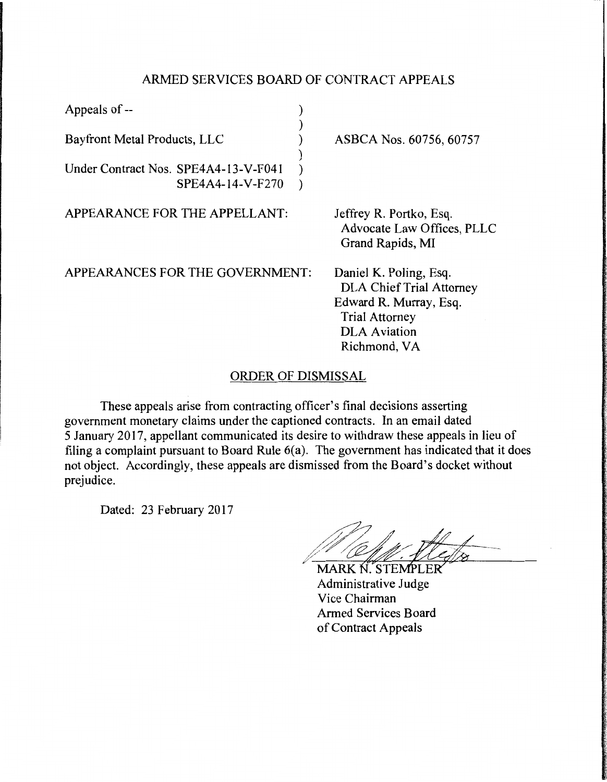## ARMED SERVICES BOARD OF CONTRACT APPEALS

| Appeals of --                        |                                                                                                                                                     |
|--------------------------------------|-----------------------------------------------------------------------------------------------------------------------------------------------------|
| Bayfront Metal Products, LLC         | ASBCA Nos. 60756, 60757                                                                                                                             |
| Under Contract Nos. SPE4A4-13-V-F041 |                                                                                                                                                     |
| SPE4A4-14-V-F270                     |                                                                                                                                                     |
| APPEARANCE FOR THE APPELLANT:        | Jeffrey R. Portko, Esq.<br>Advocate Law Offices, PLLC<br>Grand Rapids, MI                                                                           |
| APPEARANCES FOR THE GOVERNMENT:      | Daniel K. Poling, Esq.<br><b>DLA Chief Trial Attorney</b><br>Edward R. Murray, Esq.<br><b>Trial Attorney</b><br><b>DLA</b> Aviation<br>Richmond, VA |

## ORDER OF DISMISSAL

These appeals arise from contracting officer's final decisions asserting government monetary claims under the captioned contracts. In an email dated 5 January 2017, appellant communicated its desire to withdraw these appeals in lieu of filing a complaint pursuant to Board Rule 6(a). The government has indicated that it does not object. Accordingly, these appeals are dismissed from the Board's docket without prejudice.

Dated: 23 February 2017

*MARK N. STEMPLER* Administrative Judge Vice Chairman Armed Services Board of Contract Appeals